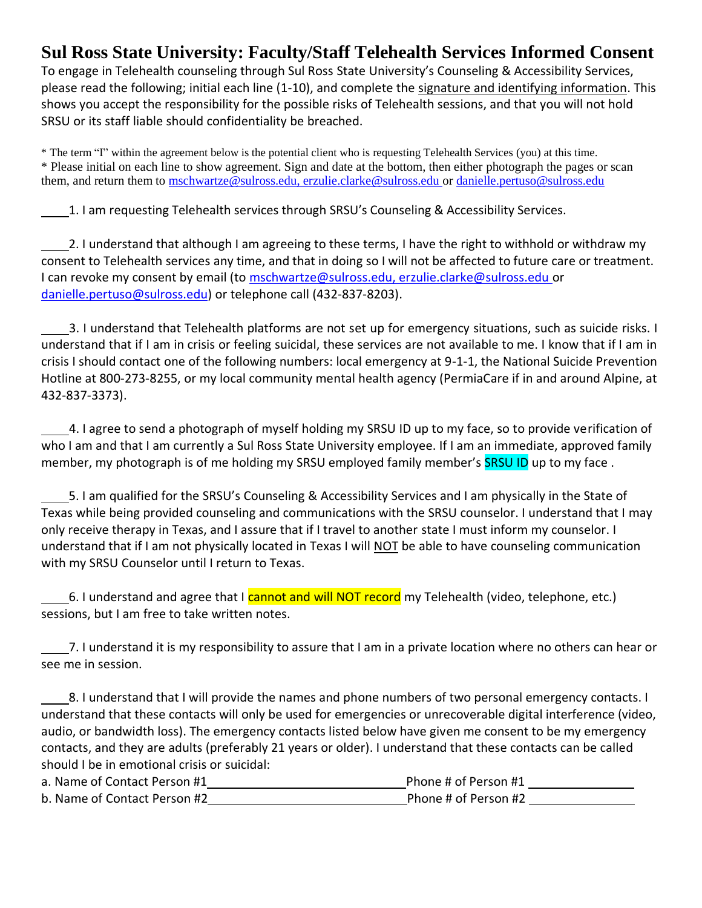## **Sul Ross State University: Faculty/Staff Telehealth Services Informed Consent**

To engage in Telehealth counseling through Sul Ross State University's Counseling & Accessibility Services, please read the following; initial each line (1-10), and complete the signature and identifying information. This shows you accept the responsibility for the possible risks of Telehealth sessions, and that you will not hold SRSU or its staff liable should confidentiality be breached.

\* The term "I" within the agreement below is the potential client who is requesting Telehealth Services (you) at this time. \* Please initial on each line to show agreement. Sign and date at the bottom, then either photograph the pages or scan them, and return them to [mschwartze@sulross.edu, erzulie.clarke@sulross.edu](mailto:mschwartze@sulross.edu,%20erzulie.clarke@sulross.edu) or [danielle.pertuso@sulross.edu](mailto:danielle.pertuso@sulross.edu)

1. I am requesting Telehealth services through SRSU's Counseling & Accessibility Services.

2. I understand that although I am agreeing to these terms, I have the right to withhold or withdraw my consent to Telehealth services any time, and that in doing so I will not be affected to future care or treatment. I can revoke my consent by email (to [mschwartze@sulross.edu, erzulie.clarke@sulross.edu](mailto:mschwartze@sulross.edu,%20erzulie.clarke@sulross.edu) or danielle.pertuso@sulross.edu) or telephone call (432-837-8203).

 3. I understand that Telehealth platforms are not set up for emergency situations, such as suicide risks. I understand that if I am in crisis or feeling suicidal, these services are not available to me. I know that if I am in crisis I should contact one of the following numbers: local emergency at 9-1-1, the National Suicide Prevention Hotline at 800-273-8255, or my local community mental health agency (PermiaCare if in and around Alpine, at 432-837-3373).

 4. I agree to send a photograph of myself holding my SRSU ID up to my face, so to provide verification of who I am and that I am currently a Sul Ross State University employee. If I am an immediate, approved family member, my photograph is of me holding my SRSU employed family member's SRSU ID up to my face.

5. I am qualified for the SRSU's Counseling & Accessibility Services and I am physically in the State of Texas while being provided counseling and communications with the SRSU counselor. I understand that I may only receive therapy in Texas, and I assure that if I travel to another state I must inform my counselor. I understand that if I am not physically located in Texas I will NOT be able to have counseling communication with my SRSU Counselor until I return to Texas.

6. I understand and agree that I cannot and will NOT record my Telehealth (video, telephone, etc.) sessions, but I am free to take written notes.

7. I understand it is my responsibility to assure that I am in a private location where no others can hear or see me in session.

8. I understand that I will provide the names and phone numbers of two personal emergency contacts. I understand that these contacts will only be used for emergencies or unrecoverable digital interference (video, audio, or bandwidth loss). The emergency contacts listed below have given me consent to be my emergency contacts, and they are adults (preferably 21 years or older). I understand that these contacts can be called should I be in emotional crisis or suicidal:

| a. Name of Contact Person #1 | Phone # of Person #1 |
|------------------------------|----------------------|
| b. Name of Contact Person #2 | Phone # of Person #2 |